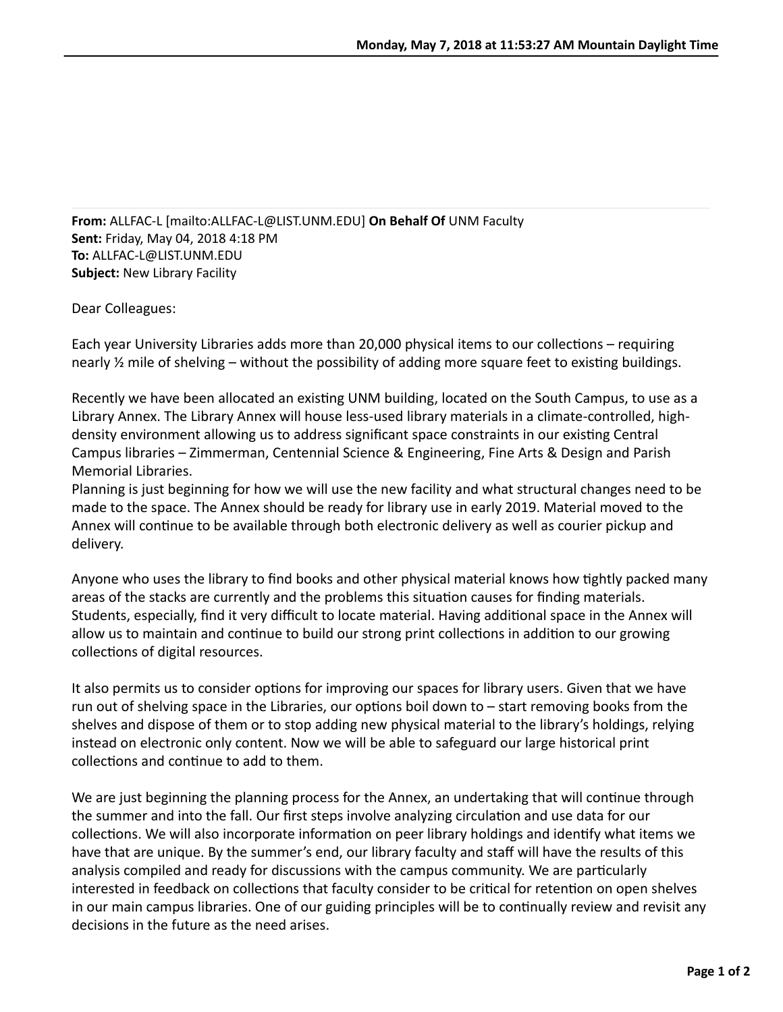**From:** ALLFAC-L [mailto:ALLFAC-L@LIST.UNM.EDU] **On Behalf Of** UNM Faculty **Sent:** Friday, May 04, 2018 4:18 PM **To:** ALLFAC-L@LIST.UNM.EDU **Subject:** New Library Facility

Dear Colleagues:

Each year University Libraries adds more than 20,000 physical items to our collections – requiring nearly  $\frac{1}{2}$  mile of shelving – without the possibility of adding more square feet to existing buildings.

Recently we have been allocated an existing UNM building, located on the South Campus, to use as a Library Annex. The Library Annex will house less-used library materials in a climate-controlled, highdensity environment allowing us to address significant space constraints in our existing Central Campus libraries – Zimmerman, Centennial Science & Engineering, Fine Arts & Design and Parish Memorial Libraries.

Planning is just beginning for how we will use the new facility and what structural changes need to be made to the space. The Annex should be ready for library use in early 2019. Material moved to the Annex will continue to be available through both electronic delivery as well as courier pickup and delivery.

Anyone who uses the library to find books and other physical material knows how tightly packed many areas of the stacks are currently and the problems this situation causes for finding materials. Students, especially, find it very difficult to locate material. Having additional space in the Annex will allow us to maintain and continue to build our strong print collections in addition to our growing collections of digital resources.

It also permits us to consider options for improving our spaces for library users. Given that we have run out of shelving space in the Libraries, our options boil down to  $-$  start removing books from the shelves and dispose of them or to stop adding new physical material to the library's holdings, relying instead on electronic only content. Now we will be able to safeguard our large historical print collections and continue to add to them.

We are just beginning the planning process for the Annex, an undertaking that will continue through the summer and into the fall. Our first steps involve analyzing circulation and use data for our collections. We will also incorporate information on peer library holdings and identify what items we have that are unique. By the summer's end, our library faculty and staff will have the results of this analysis compiled and ready for discussions with the campus community. We are particularly interested in feedback on collections that faculty consider to be critical for retention on open shelves in our main campus libraries. One of our guiding principles will be to continually review and revisit any decisions in the future as the need arises.